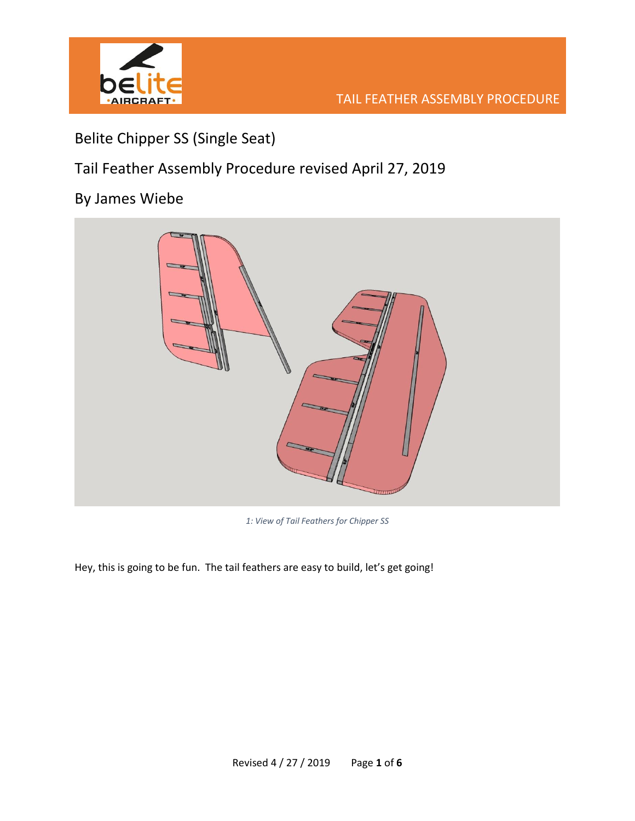

## Belite Chipper SS (Single Seat)

Tail Feather Assembly Procedure revised April 27, 2019

## By James Wiebe



*1: View of Tail Feathers for Chipper SS*

Hey, this is going to be fun. The tail feathers are easy to build, let's get going!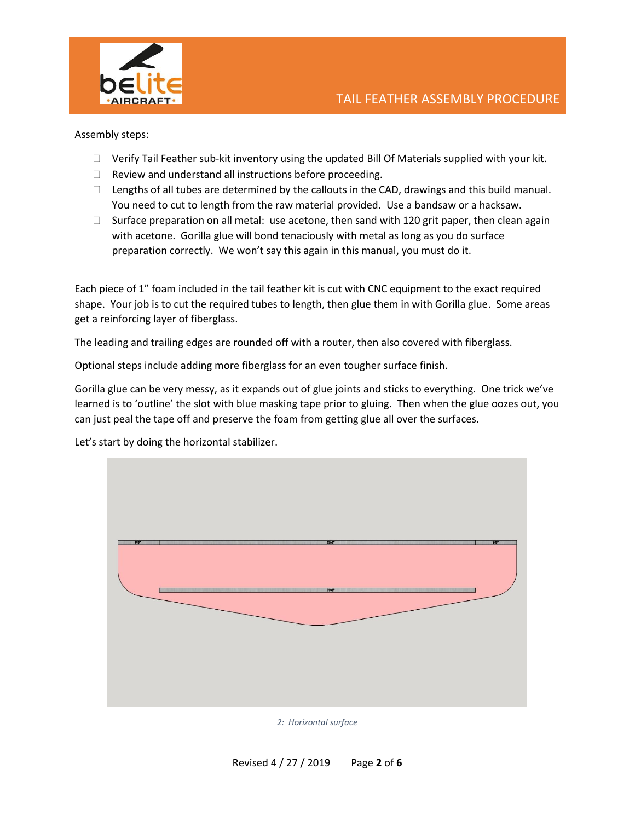

Assembly steps:

- $\Box$  Verify Tail Feather sub-kit inventory using the updated Bill Of Materials supplied with your kit.
- $\Box$  Review and understand all instructions before proceeding.
- $\Box$  Lengths of all tubes are determined by the callouts in the CAD, drawings and this build manual. You need to cut to length from the raw material provided. Use a bandsaw or a hacksaw.
- $\Box$  Surface preparation on all metal: use acetone, then sand with 120 grit paper, then clean again with acetone. Gorilla glue will bond tenaciously with metal as long as you do surface preparation correctly. We won't say this again in this manual, you must do it.

Each piece of 1" foam included in the tail feather kit is cut with CNC equipment to the exact required shape. Your job is to cut the required tubes to length, then glue them in with Gorilla glue. Some areas get a reinforcing layer of fiberglass.

The leading and trailing edges are rounded off with a router, then also covered with fiberglass.

Optional steps include adding more fiberglass for an even tougher surface finish.

Gorilla glue can be very messy, as it expands out of glue joints and sticks to everything. One trick we've learned is to 'outline' the slot with blue masking tape prior to gluing. Then when the glue oozes out, you can just peal the tape off and preserve the foam from getting glue all over the surfaces.

Let's start by doing the horizontal stabilizer.



*2: Horizontal surface*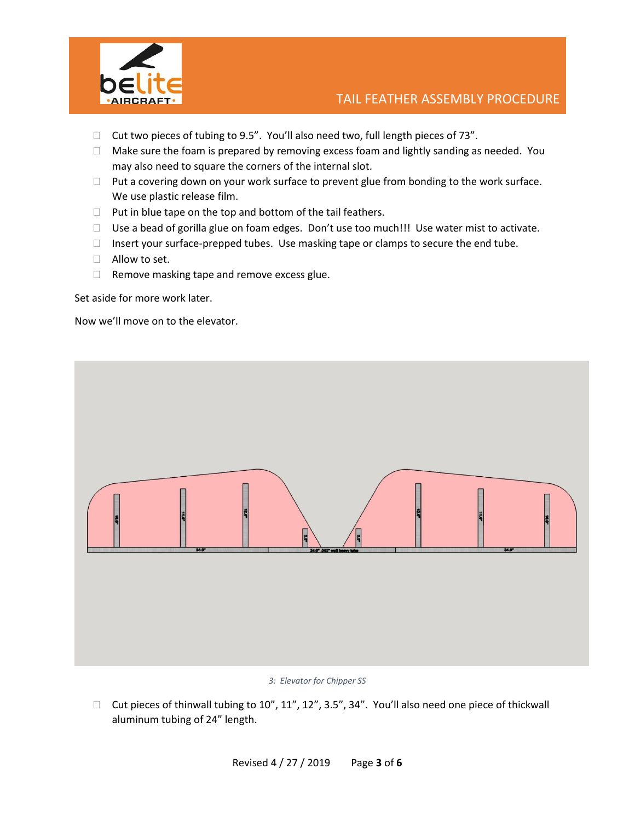

- $\Box$  Cut two pieces of tubing to 9.5". You'll also need two, full length pieces of 73".
- $\Box$  Make sure the foam is prepared by removing excess foam and lightly sanding as needed. You may also need to square the corners of the internal slot.
- $\Box$  Put a covering down on your work surface to prevent glue from bonding to the work surface. We use plastic release film.
- $\Box$  Put in blue tape on the top and bottom of the tail feathers.
- □ Use a bead of gorilla glue on foam edges. Don't use too much!!! Use water mist to activate.
- Insert your surface-prepped tubes. Use masking tape or clamps to secure the end tube.
- Allow to set.
- $\Box$  Remove masking tape and remove excess glue.

Now we'll move on to the elevator.



## *3: Elevator for Chipper SS*

 $\Box$  Cut pieces of thinwall tubing to 10", 11", 12", 3.5", 34". You'll also need one piece of thickwall aluminum tubing of 24" length.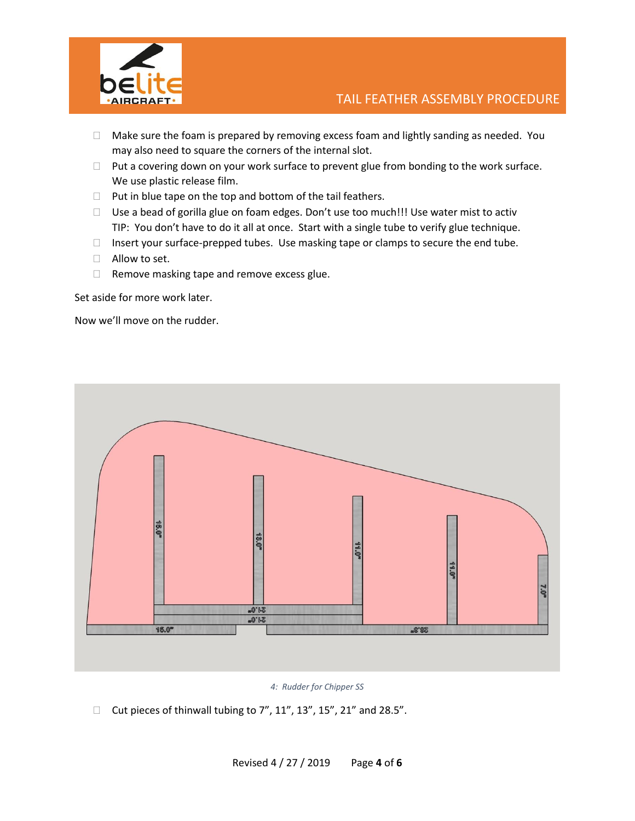

- $\Box$  Make sure the foam is prepared by removing excess foam and lightly sanding as needed. You may also need to square the corners of the internal slot.
- $\Box$  Put a covering down on your work surface to prevent glue from bonding to the work surface. We use plastic release film.
- $\Box$  Put in blue tape on the top and bottom of the tail feathers.
- □ Use a bead of gorilla glue on foam edges. Don't use too much!!! Use water mist to activ TIP: You don't have to do it all at once. Start with a single tube to verify glue technique.
- Insert your surface-prepped tubes. Use masking tape or clamps to secure the end tube.
- $\Box$  Allow to set.
- $\Box$  Remove masking tape and remove excess glue.

Now we'll move on the rudder.



*4: Rudder for Chipper SS*

 $\Box$  Cut pieces of thinwall tubing to 7", 11", 13", 15", 21" and 28.5".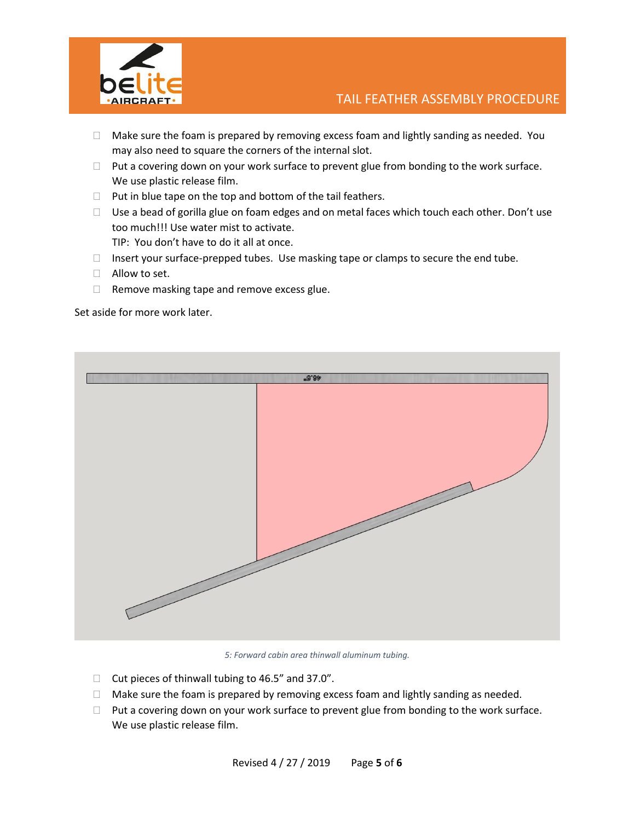

- $\Box$  Make sure the foam is prepared by removing excess foam and lightly sanding as needed. You may also need to square the corners of the internal slot.
- $\Box$  Put a covering down on your work surface to prevent glue from bonding to the work surface. We use plastic release film.
- $\Box$  Put in blue tape on the top and bottom of the tail feathers.
- $\Box$  Use a bead of gorilla glue on foam edges and on metal faces which touch each other. Don't use too much!!! Use water mist to activate. TIP: You don't have to do it all at once.
- $\Box$  Insert your surface-prepped tubes. Use masking tape or clamps to secure the end tube.
- Allow to set.
- $\Box$  Remove masking tape and remove excess glue.



*5: Forward cabin area thinwall aluminum tubing.*

- $\Box$  Cut pieces of thinwall tubing to 46.5" and 37.0".
- $\Box$  Make sure the foam is prepared by removing excess foam and lightly sanding as needed.
- $\Box$  Put a covering down on your work surface to prevent glue from bonding to the work surface. We use plastic release film.